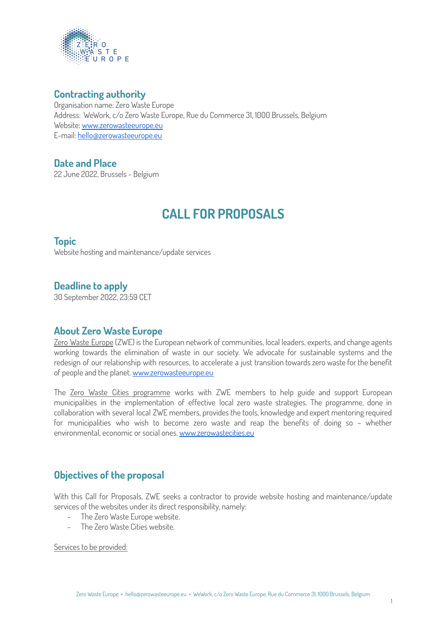

## **Contracting authority**

Organisation name: Zero Waste Europe Address: WeWork, c/o Zero Waste Europe, Rue du Commerce 31, 1000 Brussels, Belgium Website: [www.zerowasteeurope.eu](http://www.zerowasteeurope.eu) E-mail: [hello@zerowasteeurope.eu](mailto:hello@zerowasteeurope.eu)

# **Date and Place**

22 June 2022, Brussels - Belgium

# **CALL FOR PROPOSALS**

### **Topic**

Website hosting and maintenance/update services

# **Deadline to apply**

30 September 2022, 23:59 CET

### **About Zero Waste Europe**

Zero Waste Europe (ZWE) is the European network of communities, local leaders, experts, and change agents working towards the elimination of waste in our society. We advocate for sustainable systems and the redesign of our relationship with resources, to accelerate a just transition towards zero waste for the benefit of people and the planet. [www.zerowasteeurope.eu](http://www.zerowasteeurope.eu)

The Zero Waste Cities programme works with ZWE members to help guide and support European municipalities in the implementation of effective local zero waste strategies. The programme, done in collaboration with several local ZWE members, provides the tools, knowledge and expert mentoring required for municipalities who wish to become zero waste and reap the benefits of doing so – whether environmental, economic or social ones. [www.zerowastecities.eu](http://www.zerowastecities.eu)

# **Objectives of the proposal**

With this Call for Proposals, ZWE seeks a contractor to provide website hosting and maintenance/update services of the websites under its direct responsibility, namely:

- The Zero Waste Europe website.
- The Zero Waste Cities website.

Services to be provided: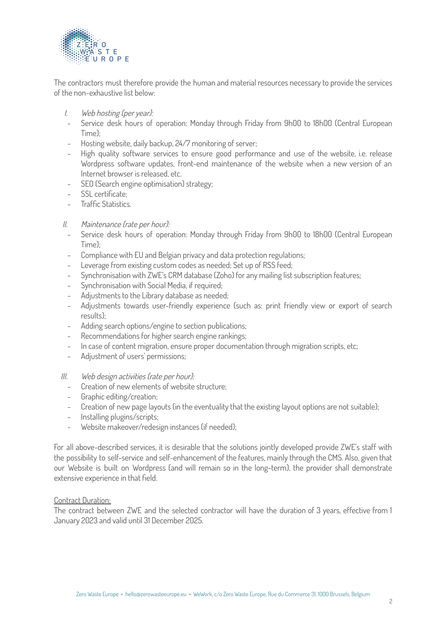

The contractors must therefore provide the human and material resources necessary to provide the services of the non-exhaustive list below:

- I. Web hosting (per year):
- Service desk hours of operation: Monday through Friday from 9h00 to 18h00 (Central European Time);
- Hosting website, daily backup, 24/7 monitoring of server;
- High quality software services to ensure good performance and use of the website, i.e. release Wordpress software updates, front-end maintenance of the website when a new version of an Internet browser is released, etc.
- SEO (Search engine optimisation) strategy;
- SSL certificate:
- Traffic Statistics.

#### II. Maintenance (rate per hour):

- Service desk hours of operation: Monday through Friday from 9h00 to 18h00 (Central European Time);
- Compliance with EU and Belgian privacy and data protection regulations;
- Leverage from existing custom codes as needed; Set up of RSS feed;
- Synchronisation with ZWE's CRM database (Zoho) for any mailing list subscription features;
- Synchronisation with Social Media, if required;
- Adjustments to the Library database as needed;
- Adjustments towards user-friendly experience (such as: print friendly view or export of search results);
- Adding search options/engine to section publications;
- Recommendations for higher search engine rankings;
- In case of content migration, ensure proper documentation through migration scripts, etc;
- Adjustment of users' permissions;

#### III. Web design activities (rate per hour):

- Creation of new elements of website structure:
- Graphic editing/creation;
- Creation of new page layouts (in the eventuality that the existing layout options are not suitable);
- Installing plugins/scripts;
- Website makeover/redesign instances (if needed):

For all above-described services, it is desirable that the solutions jointly developed provide ZWE's staff with the possibility to self-service and self-enhancement of the features, mainly through the CMS. Also, given that our Website is built on Wordpress (and will remain so in the long-term), the provider shall demonstrate extensive experience in that field.

#### Contract Duration:

The contract between ZWE and the selected contractor will have the duration of 3 years, effective from 1 January 2023 and valid until 31 December 2025.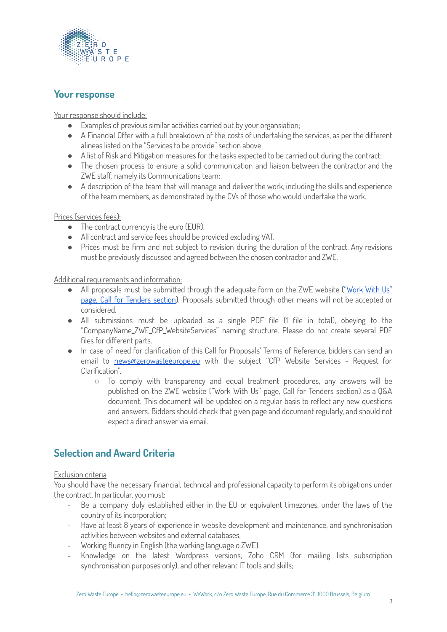

## **Your response**

Your response should include:

- Examples of previous similar activities carried out by your organsiation;
- A Financial Offer with a full breakdown of the costs of undertaking the services, as per the different alineas listed on the "Services to be provide" section above;
- A list of Risk and Mitigation measures for the tasks expected to be carried out during the contract;
- The chosen process to ensure a solid communication and liaison between the contractor and the ZWE staff, namely its Communications team;
- A description of the team that will manage and deliver the work, including the skills and experience of the team members, as demonstrated by the CVs of those who would undertake the work.

Prices (services fees):

- The contract currency is the euro (EUR).
- All contract and service fees should be provided excluding VAT.
- Prices must be firm and not subject to revision during the duration of the contract. Any revisions must be previously discussed and agreed between the chosen contractor and ZWE.

Additional requirements and information:

- All proposals must be submitted through the adequate form on the ZWE website (["Work](https://zerowasteeurope.eu/join-us/work-with-us/#call_for_tenders) With Us" page, Call for [Tenders](https://zerowasteeurope.eu/join-us/work-with-us/#call_for_tenders) section). Proposals submitted through other means will not be accepted or considered.
- All submissions must be uploaded as a single PDF file (1 file in total), obeying to the "CompanyName\_ZWE\_CfP\_WebsiteServices" naming structure. Please do not create several PDF files for different parts.
- In case of need for clarification of this Call for Proposals' Terms of Reference, bidders can send an email to [news@zerowasteeurope.eu](mailto:news@zerowasteeurope.eu) with the subject "CfP Website Services - Request for Clarification".
	- To comply with transparency and equal treatment procedures, any answers will be published on the ZWE website ("Work With Us" page, Call for Tenders section) as a Q&A document. This document will be updated on a regular basis to reflect any new questions and answers. Bidders should check that given page and document regularly, and should not expect a direct answer via email.

# **Selection and Award Criteria**

#### Exclusion criteria

You should have the necessary financial, technical and professional capacity to perform its obligations under the contract. In particular, you must:

- Be a company duly established either in the EU or equivalent timezones, under the laws of the country of its incorporation;
- Have at least 8 years of experience in website development and maintenance, and synchronisation activities between websites and external databases;
- Working fluency in English (the working language o ZWE);
- Knowledge on the latest Wordpress versions, Zoho CRM (for mailing lists subscription synchronisation purposes only), and other relevant IT tools and skills;